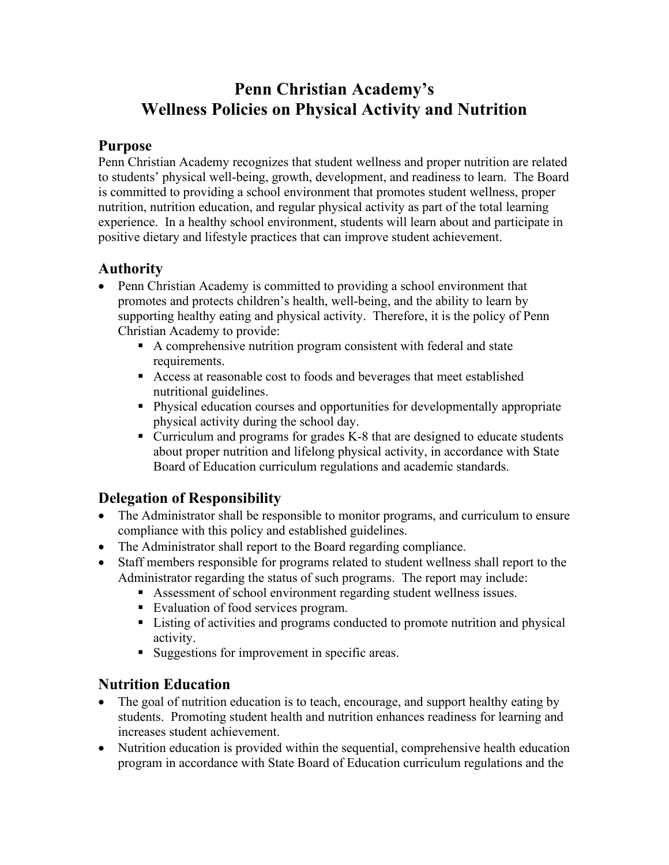# **Penn Christian Academy's Wellness Policies on Physical Activity and Nutrition**

### **Purpose**

Penn Christian Academy recognizes that student wellness and proper nutrition are related to students' physical well-being, growth, development, and readiness to learn. The Board is committed to providing a school environment that promotes student wellness, proper nutrition, nutrition education, and regular physical activity as part of the total learning experience. In a healthy school environment, students will learn about and participate in positive dietary and lifestyle practices that can improve student achievement.

### **Authority**

- Penn Christian Academy is committed to providing a school environment that promotes and protects children's health, well-being, and the ability to learn by supporting healthy eating and physical activity. Therefore, it is the policy of Penn Christian Academy to provide:
	- A comprehensive nutrition program consistent with federal and state requirements.
	- Access at reasonable cost to foods and beverages that meet established nutritional guidelines.
	- Physical education courses and opportunities for developmentally appropriate physical activity during the school day.
	- Curriculum and programs for grades K-8 that are designed to educate students about proper nutrition and lifelong physical activity, in accordance with State Board of Education curriculum regulations and academic standards.

### **Delegation of Responsibility**

- The Administrator shall be responsible to monitor programs, and curriculum to ensure compliance with this policy and established guidelines.
- The Administrator shall report to the Board regarding compliance.
- Staff members responsible for programs related to student wellness shall report to the Administrator regarding the status of such programs. The report may include:
	- Assessment of school environment regarding student wellness issues.
	- Evaluation of food services program.
	- Listing of activities and programs conducted to promote nutrition and physical activity.
	- Suggestions for improvement in specific areas.

### **Nutrition Education**

- The goal of nutrition education is to teach, encourage, and support healthy eating by students. Promoting student health and nutrition enhances readiness for learning and increases student achievement.
- Nutrition education is provided within the sequential, comprehensive health education program in accordance with State Board of Education curriculum regulations and the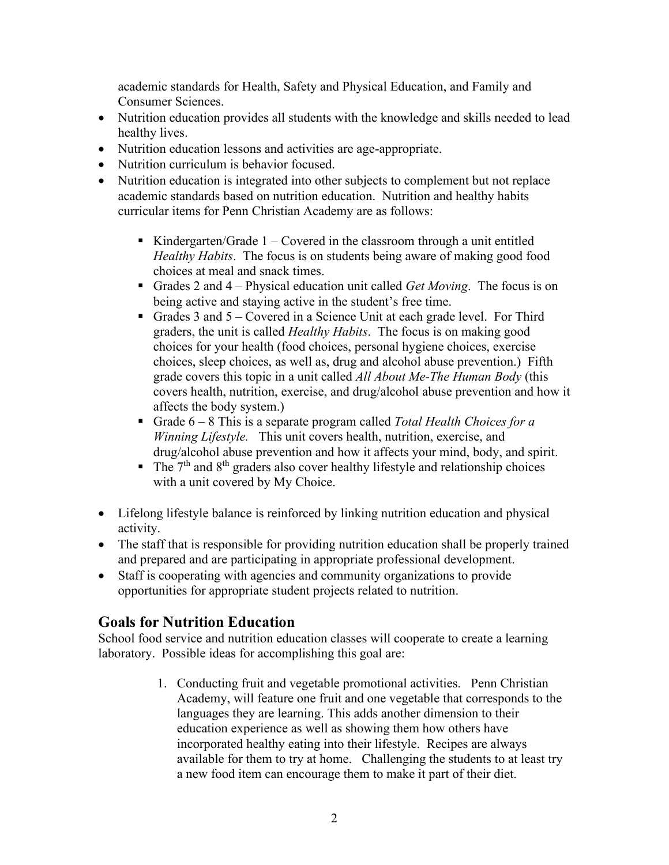academic standards for Health, Safety and Physical Education, and Family and Consumer Sciences.

- Nutrition education provides all students with the knowledge and skills needed to lead healthy lives.
- Nutrition education lessons and activities are age-appropriate.
- Nutrition curriculum is behavior focused.
- Nutrition education is integrated into other subjects to complement but not replace academic standards based on nutrition education. Nutrition and healthy habits curricular items for Penn Christian Academy are as follows:
	- Kindergarten/Grade  $1 -$ Covered in the classroom through a unit entitled *Healthy Habits*. The focus is on students being aware of making good food choices at meal and snack times.
	- Grades 2 and 4 Physical education unit called *Get Moving*. The focus is on being active and staying active in the student's free time.
	- Grades 3 and  $5 -$  Covered in a Science Unit at each grade level. For Third graders, the unit is called *Healthy Habits*. The focus is on making good choices for your health (food choices, personal hygiene choices, exercise choices, sleep choices, as well as, drug and alcohol abuse prevention.) Fifth grade covers this topic in a unit called *All About Me-The Human Body* (this covers health, nutrition, exercise, and drug/alcohol abuse prevention and how it affects the body system.)
	- Grade 6 8 This is a separate program called *Total Health Choices for a Winning Lifestyle.* This unit covers health, nutrition, exercise, and drug/alcohol abuse prevention and how it affects your mind, body, and spirit.
	- $\blacksquare$  The  $7<sup>th</sup>$  and  $8<sup>th</sup>$  graders also cover healthy lifestyle and relationship choices with a unit covered by My Choice.
- Lifelong lifestyle balance is reinforced by linking nutrition education and physical activity.
- The staff that is responsible for providing nutrition education shall be properly trained and prepared and are participating in appropriate professional development.
- Staff is cooperating with agencies and community organizations to provide opportunities for appropriate student projects related to nutrition.

### **Goals for Nutrition Education**

School food service and nutrition education classes will cooperate to create a learning laboratory. Possible ideas for accomplishing this goal are:

> 1. Conducting fruit and vegetable promotional activities. Penn Christian Academy, will feature one fruit and one vegetable that corresponds to the languages they are learning. This adds another dimension to their education experience as well as showing them how others have incorporated healthy eating into their lifestyle. Recipes are always available for them to try at home. Challenging the students to at least try a new food item can encourage them to make it part of their diet.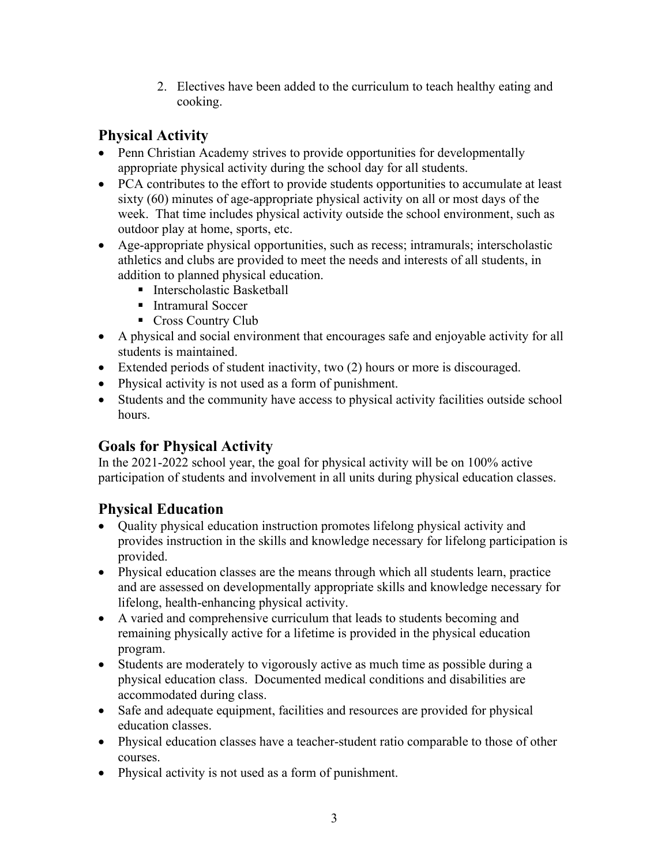2. Electives have been added to the curriculum to teach healthy eating and cooking.

# **Physical Activity**

- Penn Christian Academy strives to provide opportunities for developmentally appropriate physical activity during the school day for all students.
- PCA contributes to the effort to provide students opportunities to accumulate at least sixty (60) minutes of age-appropriate physical activity on all or most days of the week. That time includes physical activity outside the school environment, such as outdoor play at home, sports, etc.
- Age-appropriate physical opportunities, such as recess; intramurals; interscholastic athletics and clubs are provided to meet the needs and interests of all students, in addition to planned physical education.
	- Interscholastic Basketball
	- Intramural Soccer
	- Cross Country Club
- A physical and social environment that encourages safe and enjoyable activity for all students is maintained.
- Extended periods of student inactivity, two (2) hours or more is discouraged.
- Physical activity is not used as a form of punishment.
- Students and the community have access to physical activity facilities outside school hours.

# **Goals for Physical Activity**

In the 2021-2022 school year, the goal for physical activity will be on 100% active participation of students and involvement in all units during physical education classes.

# **Physical Education**

- Quality physical education instruction promotes lifelong physical activity and provides instruction in the skills and knowledge necessary for lifelong participation is provided.
- Physical education classes are the means through which all students learn, practice and are assessed on developmentally appropriate skills and knowledge necessary for lifelong, health-enhancing physical activity.
- A varied and comprehensive curriculum that leads to students becoming and remaining physically active for a lifetime is provided in the physical education program.
- Students are moderately to vigorously active as much time as possible during a physical education class. Documented medical conditions and disabilities are accommodated during class.
- Safe and adequate equipment, facilities and resources are provided for physical education classes.
- Physical education classes have a teacher-student ratio comparable to those of other courses.
- Physical activity is not used as a form of punishment.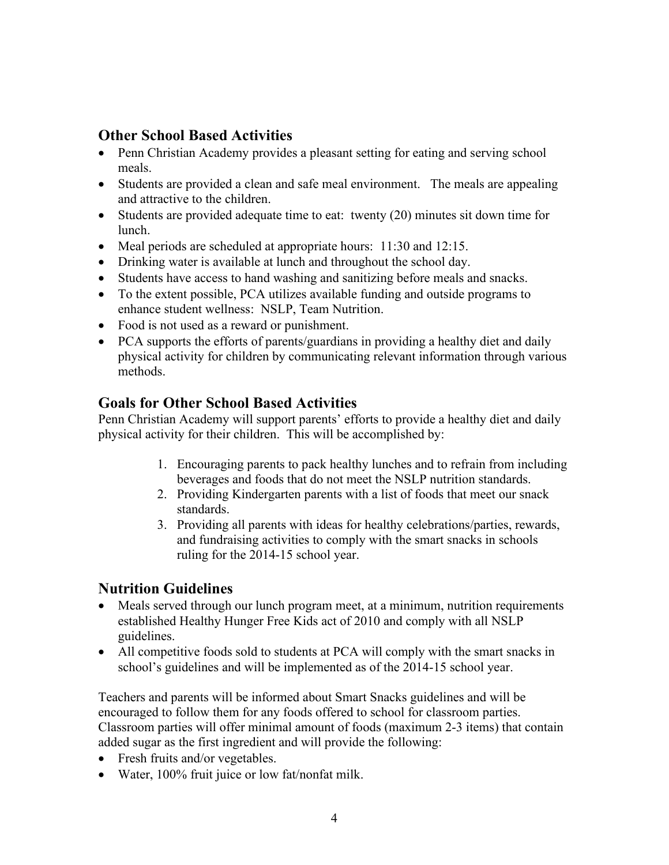### **Other School Based Activities**

- Penn Christian Academy provides a pleasant setting for eating and serving school meals.
- Students are provided a clean and safe meal environment. The meals are appealing and attractive to the children.
- Students are provided adequate time to eat: twenty (20) minutes sit down time for lunch.
- Meal periods are scheduled at appropriate hours: 11:30 and 12:15.
- Drinking water is available at lunch and throughout the school day.
- Students have access to hand washing and sanitizing before meals and snacks.
- To the extent possible, PCA utilizes available funding and outside programs to enhance student wellness: NSLP, Team Nutrition.
- Food is not used as a reward or punishment.
- PCA supports the efforts of parents/guardians in providing a healthy diet and daily physical activity for children by communicating relevant information through various methods.

#### **Goals for Other School Based Activities**

Penn Christian Academy will support parents' efforts to provide a healthy diet and daily physical activity for their children. This will be accomplished by:

- 1. Encouraging parents to pack healthy lunches and to refrain from including beverages and foods that do not meet the NSLP nutrition standards.
- 2. Providing Kindergarten parents with a list of foods that meet our snack standards.
- 3. Providing all parents with ideas for healthy celebrations/parties, rewards, and fundraising activities to comply with the smart snacks in schools ruling for the 2014-15 school year.

### **Nutrition Guidelines**

- Meals served through our lunch program meet, at a minimum, nutrition requirements established Healthy Hunger Free Kids act of 2010 and comply with all NSLP guidelines.
- All competitive foods sold to students at PCA will comply with the smart snacks in school's guidelines and will be implemented as of the 2014-15 school year.

Teachers and parents will be informed about Smart Snacks guidelines and will be encouraged to follow them for any foods offered to school for classroom parties. Classroom parties will offer minimal amount of foods (maximum 2-3 items) that contain added sugar as the first ingredient and will provide the following:

- Fresh fruits and/or vegetables.
- Water, 100% fruit juice or low fat/nonfat milk.